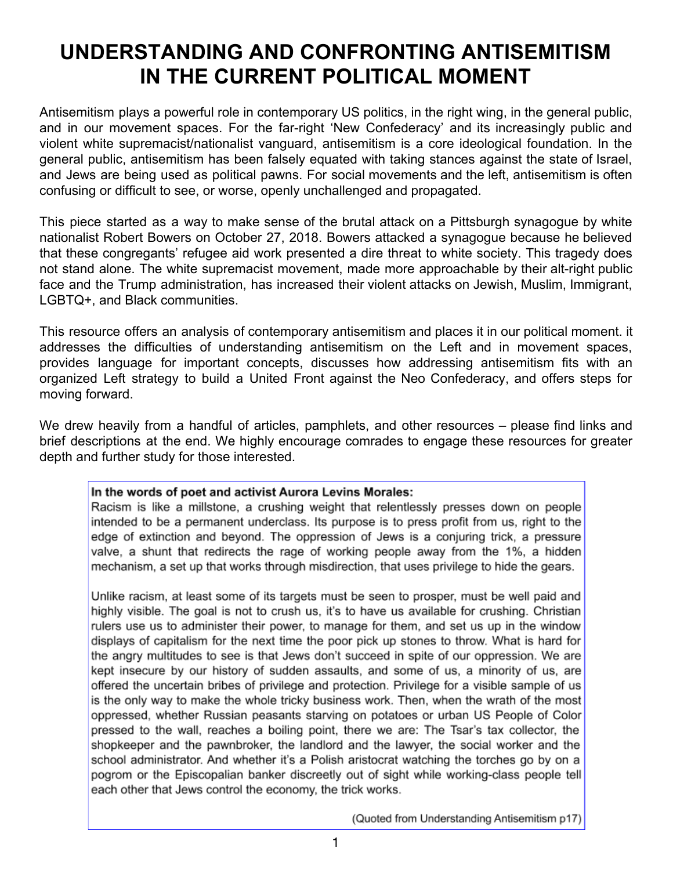# **UNDERSTANDING AND CONFRONTING ANTISEMITISM IN THE CURRENT POLITICAL MOMENT**

Antisemitism plays a powerful role in contemporary US politics, in the right wing, in the general public, and in our movement spaces. For the far-right 'New Confederacy' and its increasingly public and violent white supremacist/nationalist vanguard, antisemitism is a core ideological foundation. In the general public, antisemitism has been falsely equated with taking stances against the state of Israel, and Jews are being used as political pawns. For social movements and the left, antisemitism is often confusing or difficult to see, or worse, openly unchallenged and propagated.

This piece started as a way to make sense of the brutal attack on a Pittsburgh synagogue by white nationalist Robert Bowers on October 27, 2018. Bowers attacked a synagogue because he believed that these congregants' refugee aid work presented a dire threat to white society. This tragedy does not stand alone. The white supremacist movement, made more approachable by their alt-right public face and the Trump administration, has increased their violent attacks on Jewish, Muslim, Immigrant, LGBTQ+, and Black communities.

This resource offers an analysis of contemporary antisemitism and places it in our political moment. it addresses the difficulties of understanding antisemitism on the Left and in movement spaces, provides language for important concepts, discusses how addressing antisemitism fits with an organized Left strategy to build a United Front against the Neo Confederacy, and offers steps for moving forward.

We drew heavily from a handful of articles, pamphlets, and other resources – please find links and brief descriptions at the end. We highly encourage comrades to engage these resources for greater depth and further study for those interested.

#### In the words of poet and activist Aurora Levins Morales:

Racism is like a millstone, a crushing weight that relentlessly presses down on people intended to be a permanent underclass. Its purpose is to press profit from us, right to the edge of extinction and beyond. The oppression of Jews is a conjuring trick, a pressure valve, a shunt that redirects the rage of working people away from the 1%, a hidden mechanism, a set up that works through misdirection, that uses privilege to hide the gears.

Unlike racism, at least some of its targets must be seen to prosper, must be well paid and highly visible. The goal is not to crush us, it's to have us available for crushing. Christian rulers use us to administer their power, to manage for them, and set us up in the window displays of capitalism for the next time the poor pick up stones to throw. What is hard for the angry multitudes to see is that Jews don't succeed in spite of our oppression. We are kept insecure by our history of sudden assaults, and some of us, a minority of us, are offered the uncertain bribes of privilege and protection. Privilege for a visible sample of us is the only way to make the whole tricky business work. Then, when the wrath of the most oppressed, whether Russian peasants starving on potatoes or urban US People of Color pressed to the wall, reaches a boiling point, there we are: The Tsar's tax collector, the shopkeeper and the pawnbroker, the landlord and the lawyer, the social worker and the school administrator. And whether it's a Polish aristocrat watching the torches go by on a pogrom or the Episcopalian banker discreetly out of sight while working-class people tell each other that Jews control the economy, the trick works.

(Quoted from Understanding Antisemitism p17)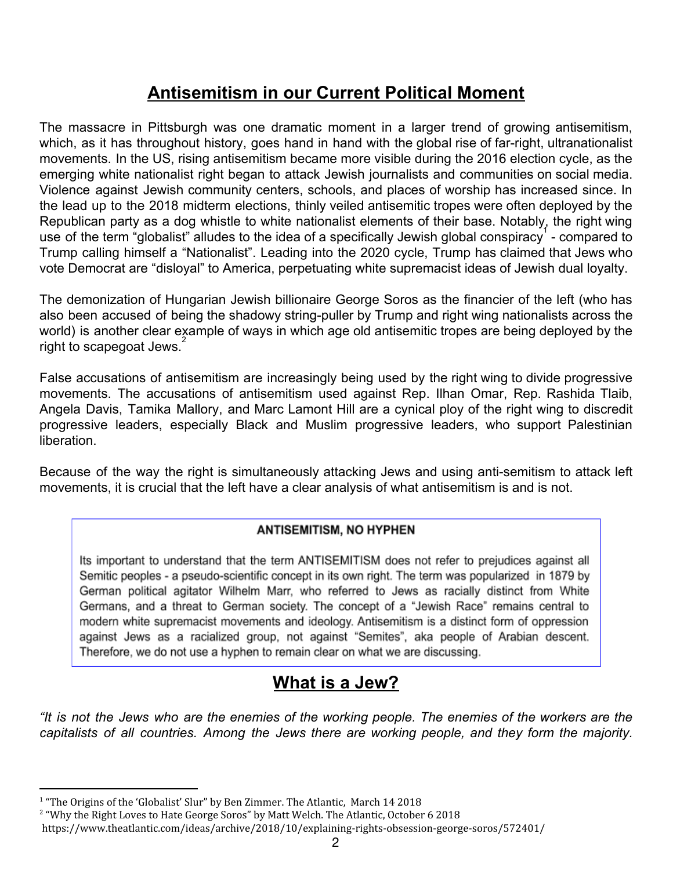### **Antisemitism in our Current Political Moment**

The massacre in Pittsburgh was one dramatic moment in a larger trend of growing antisemitism, which, as it has throughout history, goes hand in hand with the global rise of far-right, ultranationalist movements. In the US, rising antisemitism became more visible during the 2016 election cycle, as the emerging white nationalist right began to attack Jewish journalists and communities on social media. Violence against Jewish community centers, schools, and places of worship has increased since. In the lead up to the 2018 midterm elections, thinly veiled antisemitic tropes were often deployed by the Republican party as a dog whistle to white nationalist elements of their base. Notably, the right wing use of the term "globalist" alludes to the idea of a specifically Jewish global conspiracy  $\overline{ }$  - compared to Trump calling himself a "Nationalist". Leading into the 2020 cycle, Trump has claimed that Jews who vote Democrat are "disloyal" to America, perpetuating white supremacist ideas of Jewish dual loyalty.

The demonization of Hungarian Jewish billionaire George Soros as the financier of the left (who has also been accused of being the shadowy string-puller by Trump and right wing nationalists across the world) is another clear example of ways in which age old antisemitic tropes are being deployed by the right to scapegoat Jews.<sup>2</sup>

False accusations of antisemitism are increasingly being used by the right wing to divide progressive movements. The accusations of antisemitism used against Rep. Ilhan Omar, Rep. Rashida Tlaib, Angela Davis, Tamika Mallory, and Marc Lamont Hill are a cynical ploy of the right wing to discredit progressive leaders, especially Black and Muslim progressive leaders, who support Palestinian liberation.

Because of the way the right is simultaneously attacking Jews and using anti-semitism to attack left movements, it is crucial that the left have a clear analysis of what antisemitism is and is not.

#### **ANTISEMITISM, NO HYPHEN**

Its important to understand that the term ANTISEMITISM does not refer to prejudices against all Semitic peoples - a pseudo-scientific concept in its own right. The term was popularized in 1879 by German political agitator Wilhelm Marr, who referred to Jews as racially distinct from White Germans, and a threat to German society. The concept of a "Jewish Race" remains central to modern white supremacist movements and ideology. Antisemitism is a distinct form of oppression against Jews as a racialized group, not against "Semites", aka people of Arabian descent. Therefore, we do not use a hyphen to remain clear on what we are discussing.

### **What is a Jew?**

"It is not the Jews who are the enemies of the working people. The enemies of the workers are the *capitalists of all countries. Among the Jews there are working people, and they form the majority.*

<sup>&</sup>lt;sup>1</sup> "The Origins of the 'Globalist' Slur" by Ben Zimmer. The Atlantic, March 14 2018

<sup>&</sup>lt;sup>2</sup> "Why the Right Loves to Hate George Soros" by Matt Welch. The Atlantic, October 6 2018

https://www.theatlantic.com/ideas/archive/2018/10/explaining-rights-obsession-george-soros/572401/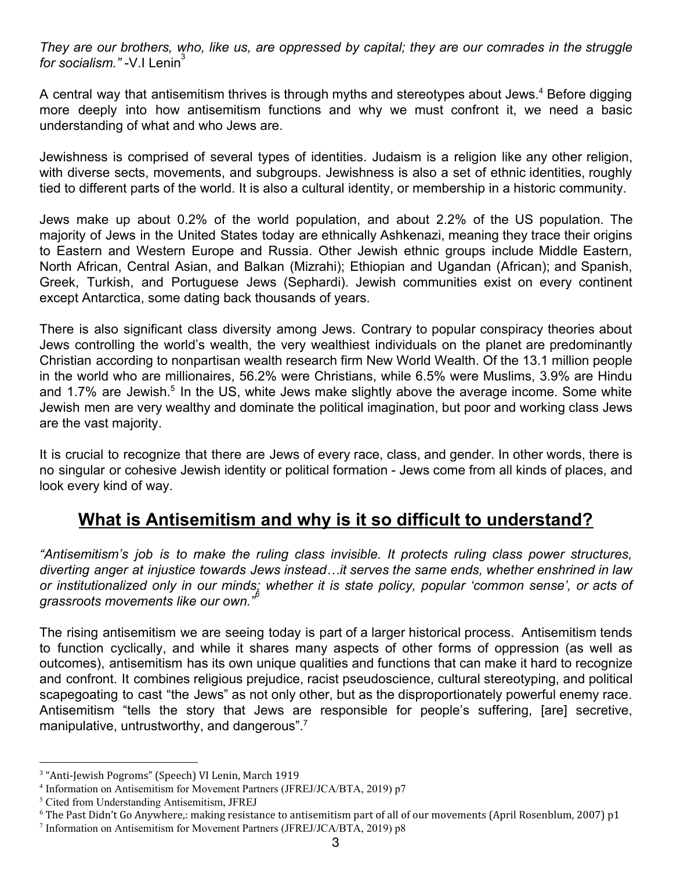They are our brothers, who, like us, are oppressed by capital; they are our comrades in the struggle *for socialism."* - V.I Lenin<sup>3</sup>

A central way that antisemitism thrives is through myths and stereotypes about Jews.<sup>4</sup> Before digging more deeply into how antisemitism functions and why we must confront it, we need a basic understanding of what and who Jews are.

Jewishness is comprised of several types of identities. Judaism is a religion like any other religion, with diverse sects, movements, and subgroups. Jewishness is also a set of ethnic identities, roughly tied to different parts of the world. It is also a cultural identity, or membership in a historic community.

Jews make up about 0.2% of the world population, and about 2.2% of the US population. The majority of Jews in the United States today are ethnically Ashkenazi, meaning they trace their origins to Eastern and Western Europe and Russia. Other Jewish ethnic groups include Middle Eastern, North African, Central Asian, and Balkan (Mizrahi); Ethiopian and Ugandan (African); and Spanish, Greek, Turkish, and Portuguese Jews (Sephardi). Jewish communities exist on every continent except Antarctica, some dating back thousands of years.

There is also significant class diversity among Jews. Contrary to popular conspiracy theories about Jews controlling the world's wealth, the very wealthiest individuals on the planet are predominantly Christian according to nonpartisan wealth research firm New World Wealth. Of the 13.1 million people in the world who are millionaires, 56.2% were Christians, while 6.5% were Muslims, 3.9% are Hindu and 1.7% are Jewish.<sup>5</sup> In the US, white Jews make slightly above the average income. Some white Jewish men are very wealthy and dominate the political imagination, but poor and working class Jews are the vast majority.

It is crucial to recognize that there are Jews of every race, class, and gender. In other words, there is no singular or cohesive Jewish identity or political formation - Jews come from all kinds of places, and look every kind of way.

### **What is Antisemitism and why is it so difficult to understand?**

*"Antisemitism's job is to make the ruling class invisible. It protects ruling class power structures, diverting anger at injustice towards Jews instead…it serves the same ends, whether enshrined in law or institutionalized only in our minds; whether it is state policy, popular 'common sense', or acts of grassroots movements like our own."<sup>6</sup>*

The rising antisemitism we are seeing today is part of a larger historical process. Antisemitism tends to function cyclically, and while it shares many aspects of other forms of oppression (as well as outcomes), antisemitism has its own unique qualities and functions that can make it hard to recognize and confront. It combines religious prejudice, racist pseudoscience, cultural stereotyping, and political scapegoating to cast "the Jews" as not only other, but as the disproportionately powerful enemy race. Antisemitism "tells the story that Jews are responsible for people's suffering, [are] secretive, manipulative, untrustworthy, and dangerous".<sup>7</sup>

<sup>3</sup> "Anti-Jewish Pogroms" (Speech) VI Lenin, March 1919

<sup>4</sup> Information on Antisemitism for Movement Partners (JFREJ/JCA/BTA, 2019) p7

<sup>5</sup> Cited from Understanding Antisemitism, JFREJ

<sup>&</sup>lt;sup>6</sup> The Past Didn't Go Anywhere,: making resistance to antisemitism part of all of our movements (April Rosenblum, 2007) p1

<sup>7</sup> Information on Antisemitism for Movement Partners (JFREJ/JCA/BTA, 2019) p8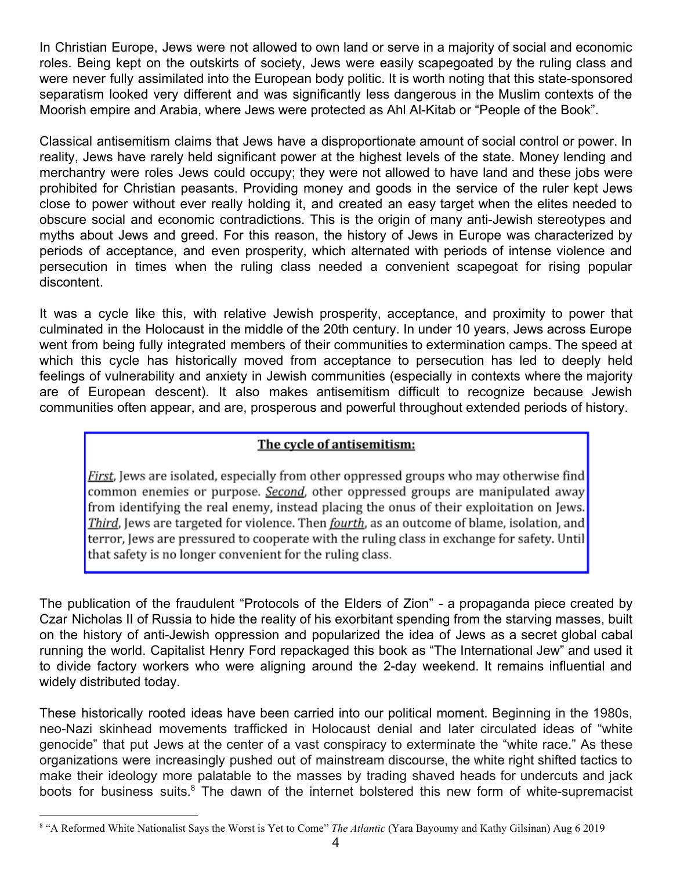In Christian Europe, Jews were not allowed to own land or serve in a majority of social and economic roles. Being kept on the outskirts of society, Jews were easily scapegoated by the ruling class and were never fully assimilated into the European body politic. It is worth noting that this state-sponsored separatism looked very different and was significantly less dangerous in the Muslim contexts of the Moorish empire and Arabia, where Jews were protected as Ahl Al-Kitab or "People of the Book".

Classical antisemitism claims that Jews have a disproportionate amount of social control or power. In reality, Jews have rarely held significant power at the highest levels of the state. Money lending and merchantry were roles Jews could occupy; they were not allowed to have land and these jobs were prohibited for Christian peasants. Providing money and goods in the service of the ruler kept Jews close to power without ever really holding it, and created an easy target when the elites needed to obscure social and economic contradictions. This is the origin of many anti-Jewish stereotypes and myths about Jews and greed. For this reason, the history of Jews in Europe was characterized by periods of acceptance, and even prosperity, which alternated with periods of intense violence and persecution in times when the ruling class needed a convenient scapegoat for rising popular discontent.

It was a cycle like this, with relative Jewish prosperity, acceptance, and proximity to power that culminated in the Holocaust in the middle of the 20th century. In under 10 years, Jews across Europe went from being fully integrated members of their communities to extermination camps. The speed at which this cycle has historically moved from acceptance to persecution has led to deeply held feelings of vulnerability and anxiety in Jewish communities (especially in contexts where the majority are of European descent). It also makes antisemitism difficult to recognize because Jewish communities often appear, and are, prosperous and powerful throughout extended periods of history.

#### <u>The cycle of antisemitism:</u>

*First*, Jews are isolated, especially from other oppressed groups who may otherwise find common enemies or purpose. Second, other oppressed groups are manipulated away from identifying the real enemy, instead placing the onus of their exploitation on Jews. Third, lews are targeted for violence. Then *fourth*, as an outcome of blame, isolation, and terror, Jews are pressured to cooperate with the ruling class in exchange for safety. Until that safety is no longer convenient for the ruling class.

The publication of the fraudulent "Protocols of the Elders of Zion" - a propaganda piece created by Czar Nicholas II of Russia to hide the reality of his exorbitant spending from the starving masses, built on the history of anti-Jewish oppression and popularized the idea of Jews as a secret global cabal running the world. Capitalist Henry Ford repackaged this book as "The International Jew" and used it to divide factory workers who were aligning around the 2-day weekend. It remains influential and widely distributed today.

These historically rooted ideas have been carried into our political moment. Beginning in the 1980s, neo-Nazi skinhead movements trafficked in Holocaust denial and later circulated ideas of "white genocide" that put Jews at the center of a vast conspiracy to exterminate the "white race." As these organizations were increasingly pushed out of mainstream discourse, the white right shifted tactics to make their ideology more palatable to the masses by trading shaved heads for undercuts and jack boots for business suits. $8$  The dawn of the internet bolstered this new form of white-supremacist

<sup>8</sup> "A Reformed White Nationalist Says the Worst is Yet to Come" *The Atlantic* (Yara Bayoumy and Kathy Gilsinan) Aug 6 2019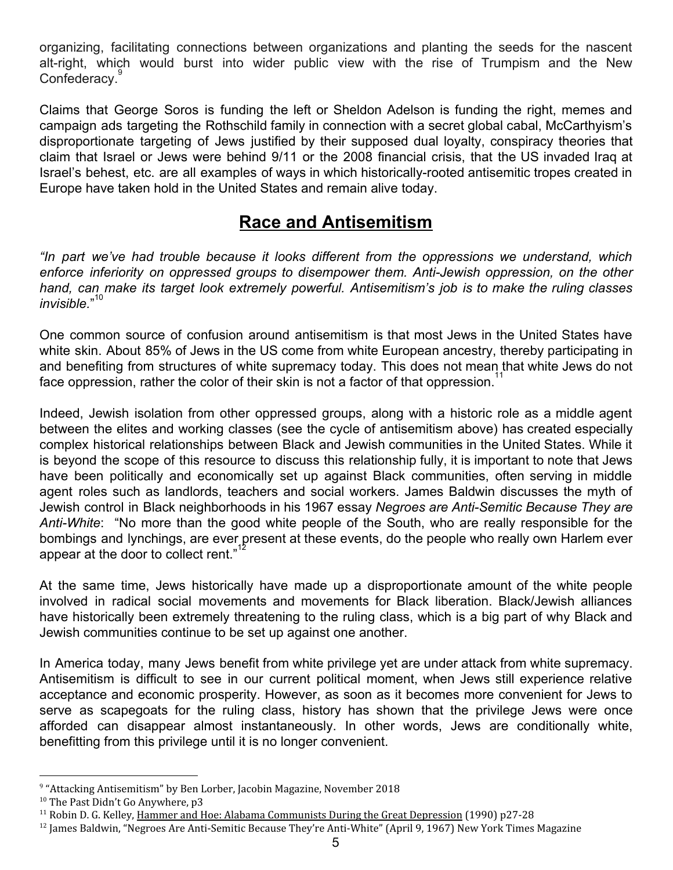organizing, facilitating connections between organizations and planting the seeds for the nascent alt-right, which would burst into wider public view with the rise of Trumpism and the New Confederacy.

Claims that George Soros is funding the left or Sheldon Adelson is funding the right, memes and campaign ads targeting the Rothschild family in connection with a secret global cabal, McCarthyism's disproportionate targeting of Jews justified by their supposed dual loyalty, conspiracy theories that claim that Israel or Jews were behind 9/11 or the 2008 financial crisis, that the US invaded Iraq at Israel's behest, etc. are all examples of ways in which historically-rooted antisemitic tropes created in Europe have taken hold in the United States and remain alive today.

### **Race and Antisemitism**

*"In part we've had trouble because it looks different from the oppressions we understand, which enforce inferiority on oppressed groups to disempower them. Anti-Jewish oppression, on the other hand, can make its target look extremely powerful. Antisemitism's job is to make the ruling classes invisible.*" 10

One common source of confusion around antisemitism is that most Jews in the United States have white skin. About 85% of Jews in the US come from white European ancestry, thereby participating in and benefiting from structures of white supremacy today. This does not mean that white Jews do not face oppression, rather the color of their skin is not a factor of that oppression.<sup>11</sup>

Indeed, Jewish isolation from other oppressed groups, along with a historic role as a middle agent between the elites and working classes (see the cycle of antisemitism above) has created especially complex historical relationships between Black and Jewish communities in the United States. While it is beyond the scope of this resource to discuss this relationship fully, it is important to note that Jews have been politically and economically set up against Black communities, often serving in middle agent roles such as landlords, teachers and social workers. James Baldwin discusses the myth of Jewish control in Black neighborhoods in his 1967 essay *Negroes are Anti-Semitic Because They are Anti-White*: "No more than the good white people of the South, who are really responsible for the bombings and lynchings, are ever present at these events, do the people who really own Harlem ever appear at the door to collect rent."

At the same time, Jews historically have made up a disproportionate amount of the white people involved in radical social movements and movements for Black liberation. Black/Jewish alliances have historically been extremely threatening to the ruling class, which is a big part of why Black and Jewish communities continue to be set up against one another.

In America today, many Jews benefit from white privilege yet are under attack from white supremacy. Antisemitism is difficult to see in our current political moment, when Jews still experience relative acceptance and economic prosperity. However, as soon as it becomes more convenient for Jews to serve as scapegoats for the ruling class, history has shown that the privilege Jews were once afforded can disappear almost instantaneously. In other words, Jews are conditionally white, benefitting from this privilege until it is no longer convenient.

<sup>&</sup>lt;sup>9</sup> "Attacking Antisemitism" by Ben Lorber, Jacobin Magazine, November 2018

<sup>&</sup>lt;sup>10</sup> The Past Didn't Go Anywhere, p3

 $11$  Robin D. G. Kelley, Hammer and Hoe: Alabama Communists During the Great Depression (1990) p27-28

 $12$  James Baldwin, "Negroes Are Anti-Semitic Because They're Anti-White" (April 9, 1967) New York Times Magazine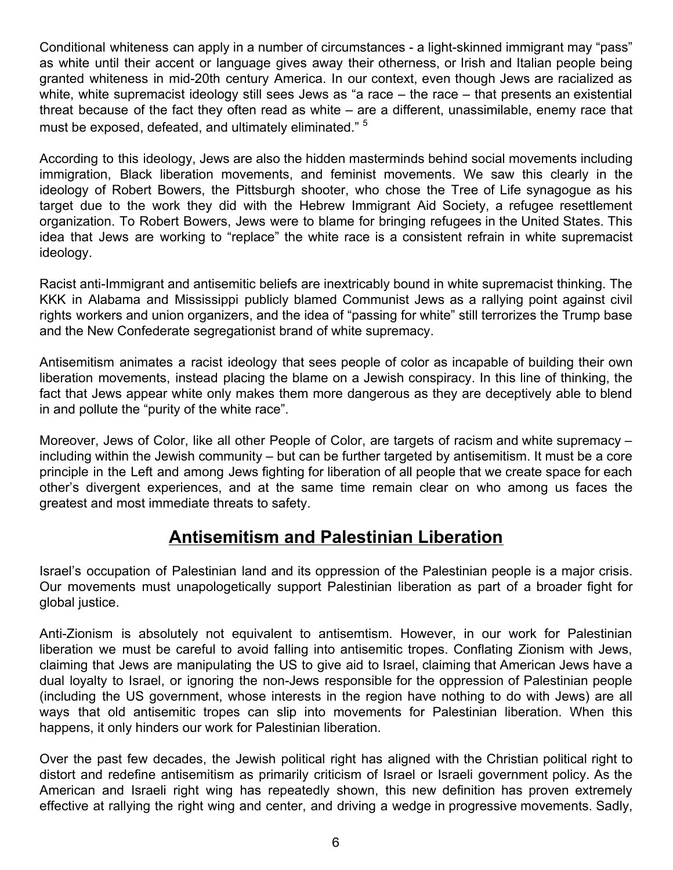Conditional whiteness can apply in a number of circumstances - a light-skinned immigrant may "pass" as white until their accent or language gives away their otherness, or Irish and Italian people being granted whiteness in mid-20th century America. In our context, even though Jews are racialized as white, white supremacist ideology still sees Jews as "a race – the race – that presents an existential threat because of the fact they often read as white – are a different, unassimilable, enemy race that must be exposed, defeated, and ultimately eliminated." <sup>5</sup>

According to this ideology, Jews are also the hidden masterminds behind social movements including immigration, Black liberation movements, and feminist movements. We saw this clearly in the ideology of Robert Bowers, the Pittsburgh shooter, who chose the Tree of Life synagogue as his target due to the work they did with the Hebrew Immigrant Aid Society, a refugee resettlement organization. To Robert Bowers, Jews were to blame for bringing refugees in the United States. This idea that Jews are working to "replace" the white race is a consistent refrain in white supremacist ideology.

Racist anti-Immigrant and antisemitic beliefs are inextricably bound in white supremacist thinking. The KKK in Alabama and Mississippi publicly blamed Communist Jews as a rallying point against civil rights workers and union organizers, and the idea of "passing for white" still terrorizes the Trump base and the New Confederate segregationist brand of white supremacy.

Antisemitism animates a racist ideology that sees people of color as incapable of building their own liberation movements, instead placing the blame on a Jewish conspiracy. In this line of thinking, the fact that Jews appear white only makes them more dangerous as they are deceptively able to blend in and pollute the "purity of the white race".

Moreover, Jews of Color, like all other People of Color, are targets of racism and white supremacy – including within the Jewish community – but can be further targeted by antisemitism. It must be a core principle in the Left and among Jews fighting for liberation of all people that we create space for each other's divergent experiences, and at the same time remain clear on who among us faces the greatest and most immediate threats to safety.

### **Antisemitism and Palestinian Liberation**

Israel's occupation of Palestinian land and its oppression of the Palestinian people is a major crisis. Our movements must unapologetically support Palestinian liberation as part of a broader fight for global justice.

Anti-Zionism is absolutely not equivalent to antisemtism. However, in our work for Palestinian liberation we must be careful to avoid falling into antisemitic tropes. Conflating Zionism with Jews, claiming that Jews are manipulating the US to give aid to Israel, claiming that American Jews have a dual loyalty to Israel, or ignoring the non-Jews responsible for the oppression of Palestinian people (including the US government, whose interests in the region have nothing to do with Jews) are all ways that old antisemitic tropes can slip into movements for Palestinian liberation. When this happens, it only hinders our work for Palestinian liberation.

Over the past few decades, the Jewish political right has aligned with the Christian political right to distort and redefine antisemitism as primarily criticism of Israel or Israeli government policy. As the American and Israeli right wing has repeatedly shown, this new definition has proven extremely effective at rallying the right wing and center, and driving a wedge in progressive movements. Sadly,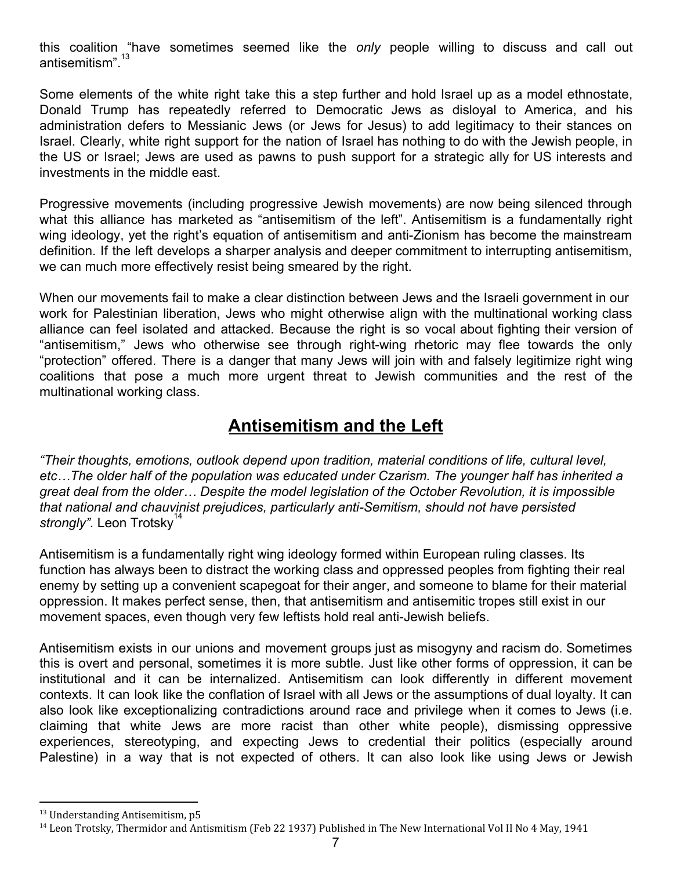this coalition "have sometimes seemed like the *only* people willing to discuss and call out antisemitism".<sup>13</sup>

Some elements of the white right take this a step further and hold Israel up as a model ethnostate, Donald Trump has repeatedly referred to Democratic Jews as disloyal to America, and his administration defers to Messianic Jews (or Jews for Jesus) to add legitimacy to their stances on Israel. Clearly, white right support for the nation of Israel has nothing to do with the Jewish people, in the US or Israel; Jews are used as pawns to push support for a strategic ally for US interests and investments in the middle east.

Progressive movements (including progressive Jewish movements) are now being silenced through what this alliance has marketed as "antisemitism of the left". Antisemitism is a fundamentally right wing ideology, yet the right's equation of antisemitism and anti-Zionism has become the mainstream definition. If the left develops a sharper analysis and deeper commitment to interrupting antisemitism, we can much more effectively resist being smeared by the right.

When our movements fail to make a clear distinction between Jews and the Israeli government in our work for Palestinian liberation, Jews who might otherwise align with the multinational working class alliance can feel isolated and attacked. Because the right is so vocal about fighting their version of "antisemitism," Jews who otherwise see through right-wing rhetoric may flee towards the only "protection" offered. There is a danger that many Jews will join with and falsely legitimize right wing coalitions that pose a much more urgent threat to Jewish communities and the rest of the multinational working class.

### **Antisemitism and the Left**

*"Their thoughts, emotions, outlook depend upon tradition, material conditions of life, cultural level, etc…The older half of the population was educated under Czarism. The younger half has inherited a great deal from the older… Despite the model legislation of the October Revolution, it is impossible that national and chauvinist prejudices, particularly anti-Semitism, should not have persisted* strongly". Leon Trotsky<sup>14</sup>

Antisemitism is a fundamentally right wing ideology formed within European ruling classes. Its function has always been to distract the working class and oppressed peoples from fighting their real enemy by setting up a convenient scapegoat for their anger, and someone to blame for their material oppression. It makes perfect sense, then, that antisemitism and antisemitic tropes still exist in our movement spaces, even though very few leftists hold real anti-Jewish beliefs.

Antisemitism exists in our unions and movement groups just as misogyny and racism do. Sometimes this is overt and personal, sometimes it is more subtle. Just like other forms of oppression, it can be institutional and it can be internalized. Antisemitism can look differently in different movement contexts. It can look like the conflation of Israel with all Jews or the assumptions of dual loyalty. It can also look like exceptionalizing contradictions around race and privilege when it comes to Jews (i.e. claiming that white Jews are more racist than other white people), dismissing oppressive experiences, stereotyping, and expecting Jews to credential their politics (especially around Palestine) in a way that is not expected of others. It can also look like using Jews or Jewish

<sup>13</sup> Understanding Antisemitism, p5

<sup>&</sup>lt;sup>14</sup> Leon Trotsky, Thermidor and Antismitism (Feb 22 1937) Published in The New International Vol II No 4 May, 1941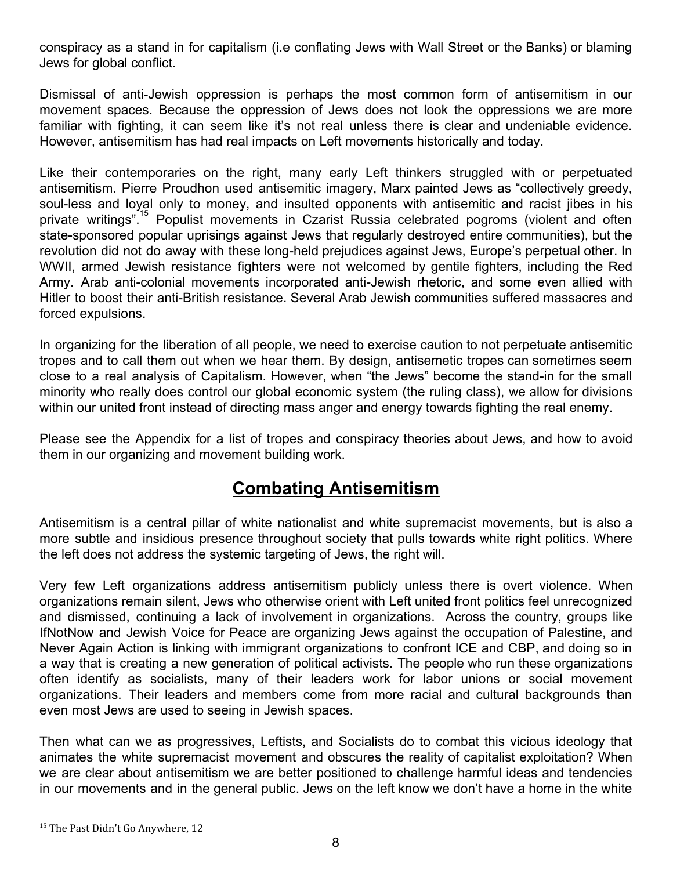conspiracy as a stand in for capitalism (i.e conflating Jews with Wall Street or the Banks) or blaming Jews for global conflict.

Dismissal of anti-Jewish oppression is perhaps the most common form of antisemitism in our movement spaces. Because the oppression of Jews does not look the oppressions we are more familiar with fighting, it can seem like it's not real unless there is clear and undeniable evidence. However, antisemitism has had real impacts on Left movements historically and today.

Like their contemporaries on the right, many early Left thinkers struggled with or perpetuated antisemitism. Pierre Proudhon used antisemitic imagery, Marx painted Jews as "collectively greedy, soul-less and loyal only to money, and insulted opponents with antisemitic and racist jibes in his private writings".<sup>"</sup> Populist movements in Czarist Russia celebrated pogroms (violent and often state-sponsored popular uprisings against Jews that regularly destroyed entire communities), but the revolution did not do away with these long-held prejudices against Jews, Europe's perpetual other. In WWII, armed Jewish resistance fighters were not welcomed by gentile fighters, including the Red Army. Arab anti-colonial movements incorporated anti-Jewish rhetoric, and some even allied with Hitler to boost their anti-British resistance. Several Arab Jewish communities suffered massacres and forced expulsions.

In organizing for the liberation of all people, we need to exercise caution to not perpetuate antisemitic tropes and to call them out when we hear them. By design, antisemetic tropes can sometimes seem close to a real analysis of Capitalism. However, when "the Jews" become the stand-in for the small minority who really does control our global economic system (the ruling class), we allow for divisions within our united front instead of directing mass anger and energy towards fighting the real enemy.

Please see the Appendix for a list of tropes and conspiracy theories about Jews, and how to avoid them in our organizing and movement building work.

### **Combating Antisemitism**

Antisemitism is a central pillar of white nationalist and white supremacist movements, but is also a more subtle and insidious presence throughout society that pulls towards white right politics. Where the left does not address the systemic targeting of Jews, the right will.

Very few Left organizations address antisemitism publicly unless there is overt violence. When organizations remain silent, Jews who otherwise orient with Left united front politics feel unrecognized and dismissed, continuing a lack of involvement in organizations. Across the country, groups like IfNotNow and Jewish Voice for Peace are organizing Jews against the occupation of Palestine, and Never Again Action is linking with immigrant organizations to confront ICE and CBP, and doing so in a way that is creating a new generation of political activists. The people who run these organizations often identify as socialists, many of their leaders work for labor unions or social movement organizations. Their leaders and members come from more racial and cultural backgrounds than even most Jews are used to seeing in Jewish spaces.

Then what can we as progressives, Leftists, and Socialists do to combat this vicious ideology that animates the white supremacist movement and obscures the reality of capitalist exploitation? When we are clear about antisemitism we are better positioned to challenge harmful ideas and tendencies in our movements and in the general public. Jews on the left know we don't have a home in the white

<sup>&</sup>lt;sup>15</sup> The Past Didn't Go Anywhere, 12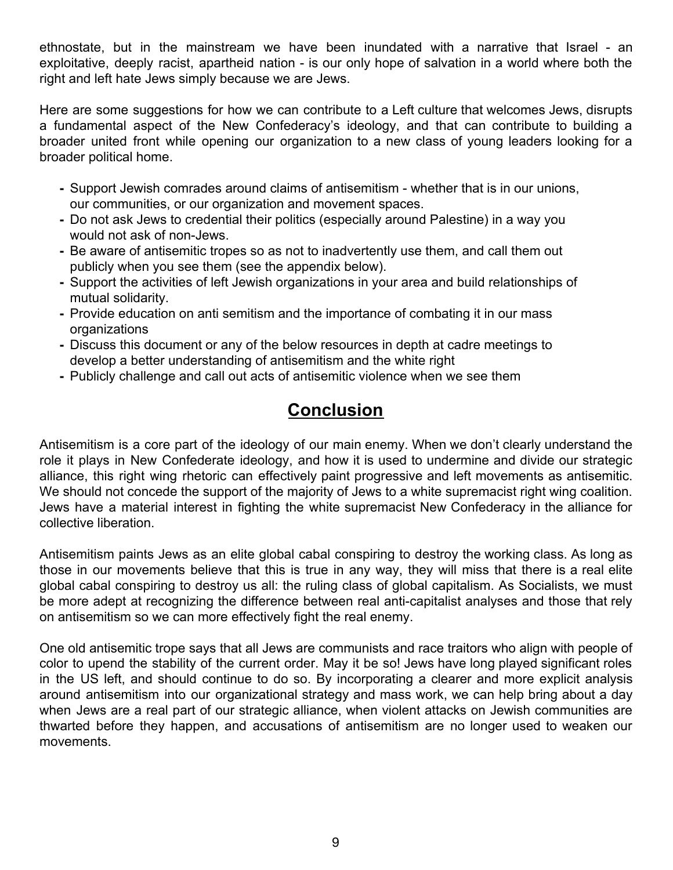ethnostate, but in the mainstream we have been inundated with a narrative that Israel - an exploitative, deeply racist, apartheid nation - is our only hope of salvation in a world where both the right and left hate Jews simply because we are Jews.

Here are some suggestions for how we can contribute to a Left culture that welcomes Jews, disrupts a fundamental aspect of the New Confederacy's ideology, and that can contribute to building a broader united front while opening our organization to a new class of young leaders looking for a broader political home.

- **-** Support Jewish comrades around claims of antisemitism whether that is in our unions, our communities, or our organization and movement spaces.
- **-** Do not ask Jews to credential their politics (especially around Palestine) in a way you would not ask of non-Jews.
- **-** Be aware of antisemitic tropes so as not to inadvertently use them, and call them out publicly when you see them (see the appendix below).
- **-** Support the activities of left Jewish organizations in your area and build relationships of mutual solidarity.
- **-** Provide education on anti semitism and the importance of combating it in our mass organizations
- **-** Discuss this document or any of the below resources in depth at cadre meetings to develop a better understanding of antisemitism and the white right
- **-** Publicly challenge and call out acts of antisemitic violence when we see them

### **Conclusion**

Antisemitism is a core part of the ideology of our main enemy. When we don't clearly understand the role it plays in New Confederate ideology, and how it is used to undermine and divide our strategic alliance, this right wing rhetoric can effectively paint progressive and left movements as antisemitic. We should not concede the support of the majority of Jews to a white supremacist right wing coalition. Jews have a material interest in fighting the white supremacist New Confederacy in the alliance for collective liberation.

Antisemitism paints Jews as an elite global cabal conspiring to destroy the working class. As long as those in our movements believe that this is true in any way, they will miss that there is a real elite global cabal conspiring to destroy us all: the ruling class of global capitalism. As Socialists, we must be more adept at recognizing the difference between real anti-capitalist analyses and those that rely on antisemitism so we can more effectively fight the real enemy.

One old antisemitic trope says that all Jews are communists and race traitors who align with people of color to upend the stability of the current order. May it be so! Jews have long played significant roles in the US left, and should continue to do so. By incorporating a clearer and more explicit analysis around antisemitism into our organizational strategy and mass work, we can help bring about a day when Jews are a real part of our strategic alliance, when violent attacks on Jewish communities are thwarted before they happen, and accusations of antisemitism are no longer used to weaken our movements.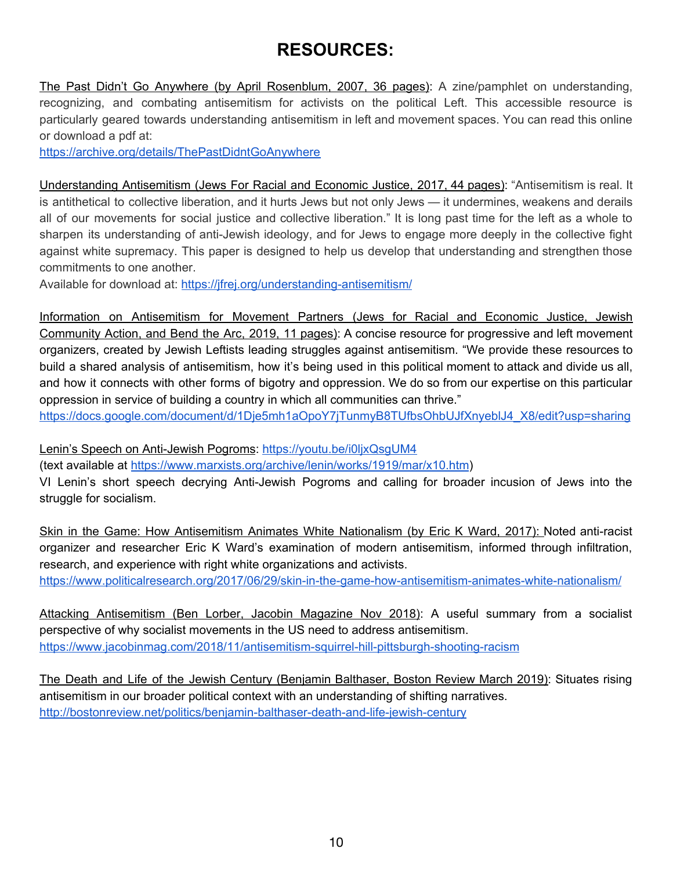## **RESOURCES:**

The Past Didn't Go Anywhere (by April Rosenblum, 2007, 36 pages): A zine/pamphlet on understanding, recognizing, and combating antisemitism for activists on the political Left. This accessible resource is particularly geared towards understanding antisemitism in left and movement spaces. You can read this online or download a pdf at:

<https://archive.org/details/ThePastDidntGoAnywhere>

Understanding Antisemitism (Jews For Racial and Economic Justice, 2017, 44 pages): "Antisemitism is real. It is antithetical to collective liberation, and it hurts Jews but not only Jews — it undermines, weakens and derails all of our movements for social justice and collective liberation." It is long past time for the left as a whole to sharpen its understanding of anti-Jewish ideology, and for Jews to engage more deeply in the collective fight against white supremacy. This paper is designed to help us develop that understanding and strengthen those commitments to one another.

Available for download at: <https://jfrej.org/understanding-antisemitism/>

Information on Antisemitism for Movement Partners (Jews for Racial and Economic Justice, Jewish Community Action, and Bend the Arc, 2019, 11 pages): A concise resource for progressive and left movement organizers, created by Jewish Leftists leading struggles against antisemitism. "We provide these resources to build a shared analysis of antisemitism, how it's being used in this political moment to attack and divide us all, and how it connects with other forms of bigotry and oppression. We do so from our expertise on this particular oppression in service of building a country in which all communities can thrive."

[https://docs.google.com/document/d/1Dje5mh1aOpoY7jTunmyB8TUfbsOhbUJfXnyeblJ4\\_X8/edit?usp=sharing](https://docs.google.com/document/d/1Dje5mh1aOpoY7jTunmyB8TUfbsOhbUJfXnyeblJ4_X8/edit?usp=sharing)

Lenin's Speech on Anti-Jewish Pogroms: <https://youtu.be/i0ljxQsgUM4>

(text available at [https://www.marxists.org/archive/lenin/works/1919/mar/x10.htm\)](https://www.marxists.org/archive/lenin/works/1919/mar/x10.htm)

VI Lenin's short speech decrying Anti-Jewish Pogroms and calling for broader incusion of Jews into the struggle for socialism.

Skin in the Game: How Antisemitism Animates White Nationalism (by Eric K Ward, 2017): Noted anti-racist organizer and researcher Eric K Ward's examination of modern antisemitism, informed through infiltration, research, and experience with right white organizations and activists.

<https://www.politicalresearch.org/2017/06/29/skin-in-the-game-how-antisemitism-animates-white-nationalism/>

Attacking Antisemitism (Ben Lorber, Jacobin Magazine Nov 2018): A useful summary from a socialist perspective of why socialist movements in the US need to address antisemitism. <https://www.jacobinmag.com/2018/11/antisemitism-squirrel-hill-pittsburgh-shooting-racism>

The Death and Life of the Jewish Century (Benjamin Balthaser, Boston Review March 2019): Situates rising antisemitism in our broader political context with an understanding of shifting narratives. <http://bostonreview.net/politics/benjamin-balthaser-death-and-life-jewish-century>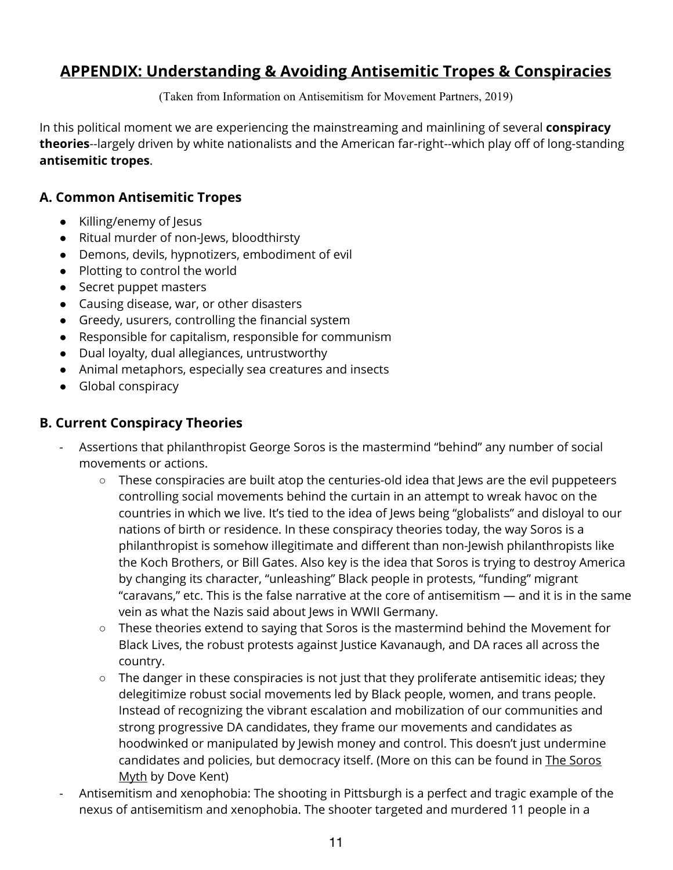#### **APPENDIX: Understanding & Avoiding Antisemitic Tropes & Conspiracies**

(Taken from Information on Antisemitism for Movement Partners, 2019)

In this political moment we are experiencing the mainstreaming and mainlining of several **conspiracy theories**--largely driven by white nationalists and the American far-right--which play off of long-standing **antisemitic tropes**.

#### **A. Common Antisemitic Tropes**

- Killing/enemy of Jesus
- Ritual murder of non-Jews, bloodthirsty
- Demons, devils, hypnotizers, embodiment of evil
- Plotting to control the world
- Secret puppet masters
- Causing disease, war, or other disasters
- Greedy, usurers, controlling the financial system
- Responsible for capitalism, responsible for communism
- Dual loyalty, dual allegiances, untrustworthy
- Animal metaphors, especially sea creatures and insects
- Global conspiracy

#### **B. Current Conspiracy Theories**

- Assertions that philanthropist George Soros is the mastermind "behind" any number of social movements or actions.
	- These conspiracies are built atop the centuries-old idea that Jews are the evil puppeteers controlling social movements behind the curtain in an attempt to wreak havoc on the countries in which we live. It's tied to the idea of Jews being "globalists" and disloyal to our nations of birth or residence. In these conspiracy theories today, the way Soros is a philanthropist is somehow illegitimate and different than non-Jewish philanthropists like the Koch Brothers, or Bill Gates. Also key is the idea that Soros is trying to destroy America by changing its character, "unleashing" Black people in protests, "funding" migrant "caravans," etc. This is the false narrative at the core of antisemitism — and it is in the same vein as what the Nazis said about Jews in WWII Germany.
	- These theories extend to saying that Soros is the mastermind behind the Movement for Black Lives, the robust protests against Justice Kavanaugh, and DA races all across the country.
	- The danger in these conspiracies is not just that they proliferate antisemitic ideas; they delegitimize robust social movements led by Black people, women, and trans people. Instead of recognizing the vibrant escalation and mobilization of our communities and strong progressive DA candidates, they frame our movements and candidates as hoodwinked or manipulated by Jewish money and control. This doesn't just undermine candidates and policies, but democracy itself. (More on this can be found in The [Soros](https://medium.com/@DoveKent/the-soros-myth-a71d43617f34) [Myth](https://medium.com/@DoveKent/the-soros-myth-a71d43617f34) by Dove Kent)
- Antisemitism and xenophobia: The shooting in Pittsburgh is a perfect and tragic example of the nexus of antisemitism and xenophobia. The shooter targeted and murdered 11 people in a